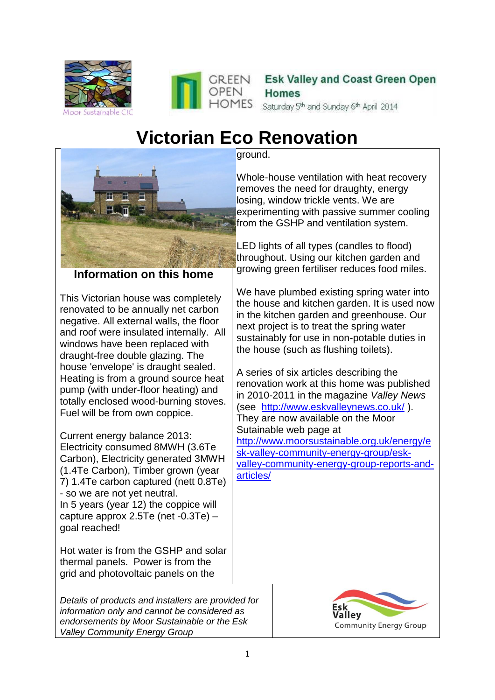



Esk Valley and Coast Green Open **Homes** Saturday 5<sup>th</sup> and Sunday 6<sup>th</sup> April 2014

# **Victorian Eco Renovation**



**Information on this home**

This Victorian house was completely renovated to be annually net carbon negative. All external walls, the floor and roof were insulated internally. All windows have been replaced with draught-free double glazing. The house 'envelope' is draught sealed. Heating is from a ground source heat pump (with under-floor heating) and totally enclosed wood-burning stoves. Fuel will be from own coppice.

Current energy balance 2013: Electricity consumed 8MWH (3.6Te Carbon), Electricity generated 3MWH (1.4Te Carbon), Timber grown (year 7) 1.4Te carbon captured (nett 0.8Te) - so we are not yet neutral. In 5 years (year 12) the coppice will capture approx 2.5Te (net -0.3Te) – goal reached!

Hot water is from the GSHP and solar thermal panels. Power is from the grid and photovoltaic panels on the

*Details of products and installers are provided for information only and cannot be considered as endorsements by Moor Sustainable or the Esk Valley Community Energy Group*

ground.

Whole-house ventilation with heat recovery removes the need for draughty, energy losing, window trickle vents. We are experimenting with passive summer cooling from the GSHP and ventilation system.

LED lights of all types (candles to flood) throughout. Using our kitchen garden and growing green fertiliser reduces food miles.

We have plumbed existing spring water into the house and kitchen garden. It is used now in the kitchen garden and greenhouse. Our next project is to treat the spring water sustainably for use in non-potable duties in the house (such as flushing toilets).

A series of six articles describing the renovation work at this home was published in 2010-2011 in the magazine *Valley News* (see <http://www.eskvalleynews.co.uk/> ). They are now available on the Moor Sutainable web page at [http://www.moorsustainable.org.uk/energy/e](http://www.moorsustainable.org.uk/energy/esk-valley-community-energy-group/esk-valley-community-energy-group-reports-and-articles/) [sk-valley-community-energy-group/esk](http://www.moorsustainable.org.uk/energy/esk-valley-community-energy-group/esk-valley-community-energy-group-reports-and-articles/)[valley-community-energy-group-reports-and](http://www.moorsustainable.org.uk/energy/esk-valley-community-energy-group/esk-valley-community-energy-group-reports-and-articles/)[articles/](http://www.moorsustainable.org.uk/energy/esk-valley-community-energy-group/esk-valley-community-energy-group-reports-and-articles/)

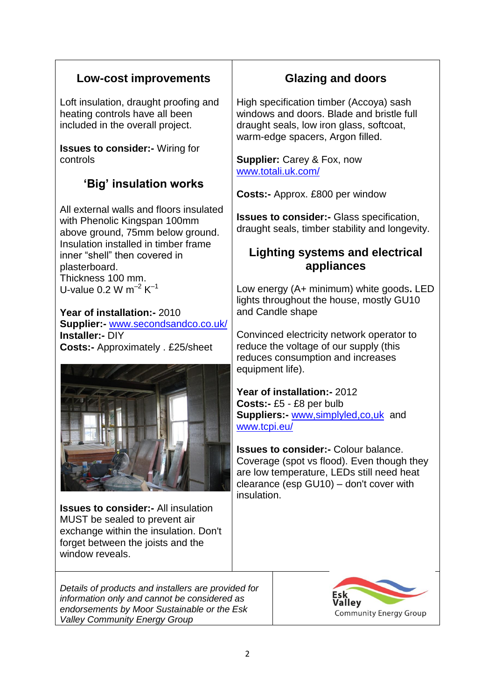## **Low-cost improvements**

Loft insulation, draught proofing and heating controls have all been included in the overall project.

**Issues to consider:-** Wiring for controls

# **'Big' insulation works**

All external walls and floors insulated with Phenolic Kingspan 100mm above ground, 75mm below ground. Insulation installed in timber frame inner "shell" then covered in plasterboard. Thickness 100 mm. U-value 0.2 W  $m^{-2}$  K<sup>-1</sup>

**Year of installation:-** 2010 **Supplier:-** [www.secondsandco.co.uk/](http://www.secondsandco.co.uk/) **Installer:-** DIY **Costs:-** Approximately . £25/sheet



**Issues to consider:-** All insulation MUST be sealed to prevent air exchange within the insulation. Don't forget between the joists and the window reveals.

*Details of products and installers are provided for information only and cannot be considered as endorsements by Moor Sustainable or the Esk Valley Community Energy Group*

## **Glazing and doors**

High specification timber (Accoya) sash windows and doors. Blade and bristle full draught seals, low iron glass, softcoat, warm-edge spacers, Argon filled.

**Supplier:** Carey & Fox, now [www.totali.uk.com/](http://www.totali.uk.com/)

**Costs:-** Approx. £800 per window

**Issues to consider:-** Glass specification, draught seals, timber stability and longevity.

## **Lighting systems and electrical appliances**

Low energy (A+ minimum) white goods**.** LED lights throughout the house, mostly GU10 and Candle shape

Convinced electricity network operator to reduce the voltage of our supply (this reduces consumption and increases equipment life).

**Year of installation:-** 2012 **Costs:-** £5 - £8 per bulb **Suppliers:-** www,simplyled,co,uk and [www.tcpi.eu/](http://www.tcpi.eu/)

**Issues to consider:-** Colour balance. Coverage (spot vs flood). Even though they are low temperature, LEDs still need heat clearance (esp GU10) – don't cover with insulation.

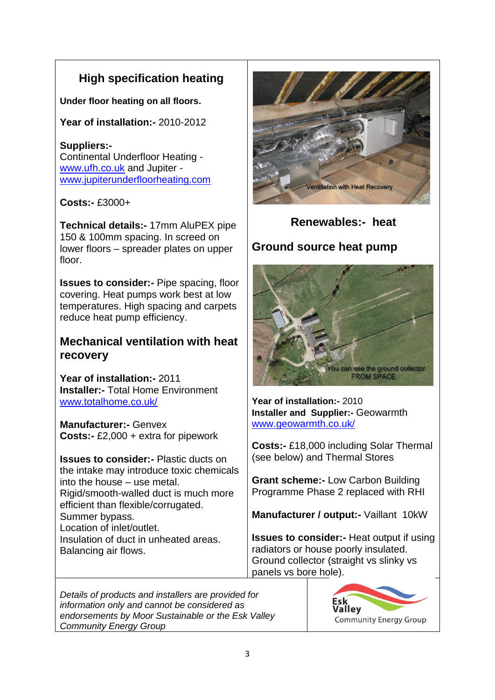# **High specification heating**

**Under floor heating on all floors.**

**Year of installation:-** 2010-2012

## **Suppliers:-**

Continental Underfloor Heating [www.ufh.co.uk](http://www.ufh.co.uk/) and Jupiter [www.jupiterunderfloorheating.com](http://www.jupiterunderfloorheating.com/)

#### **Costs:-** £3000+

**Technical details:-** 17mm AluPEX pipe 150 & 100mm spacing. In screed on lower floors – spreader plates on upper floor.

**Issues to consider:-** Pipe spacing, floor covering. Heat pumps work best at low temperatures. High spacing and carpets reduce heat pump efficiency.

## **Mechanical ventilation with heat recovery**

**Year of installation:-** 2011 **Installer:-** Total Home Environment [www.totalhome.co.uk/](http://www.totalhome.co.uk/)

**Manufacturer:-** Genvex **Costs:-** £2,000 + extra for pipework

**Issues to consider:-** Plastic ducts on the intake may introduce toxic chemicals into the house – use metal. Rigid/smooth-walled duct is much more efficient than flexible/corrugated. Summer bypass. Location of inlet/outlet. Insulation of duct in unheated areas. Balancing air flows.



## **Renewables:- heat**

## **Ground source heat pump**



**Year of installation:-** 2010 **Installer and Supplier:-** Geowarmth [www.geowarmth.co.uk/](http://www.geowarmth.co.uk/)

**Costs:-** £18,000 including Solar Thermal (see below) and Thermal Stores

**Grant scheme:-** Low Carbon Building Programme Phase 2 replaced with RHI

**Manufacturer / output:-** Vaillant 10kW

**Issues to consider:-** Heat output if using radiators or house poorly insulated. Ground collector (straight vs slinky vs panels vs bore hole).

*Details of products and installers are provided for information only and cannot be considered as endorsements by Moor Sustainable or the Esk Valley Community Energy Group*

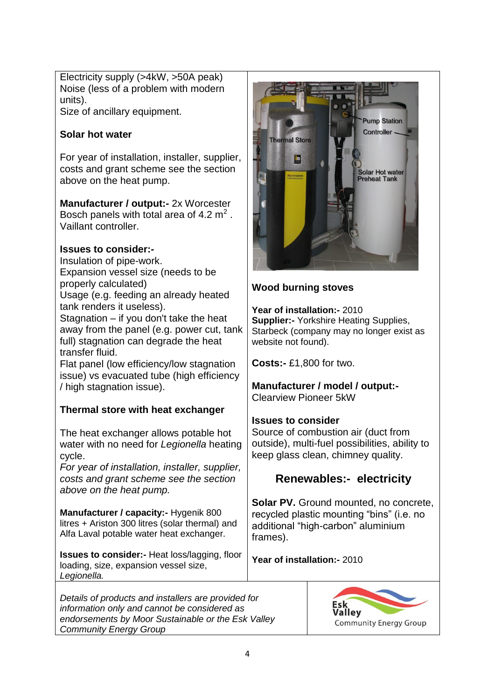Electricity supply (>4kW, >50A peak) Noise (less of a problem with modern units).

Size of ancillary equipment.

#### **Solar hot water**

For year of installation, installer, supplier, costs and grant scheme see the section above on the heat pump.

#### **Manufacturer / output:-** 2x Worcester

Bosch panels with total area of 4.2  $m^2$ . Vaillant controller.

#### **Issues to consider:-**

Insulation of pipe-work.

Expansion vessel size (needs to be

properly calculated)

Usage (e.g. feeding an already heated tank renders it useless).

Stagnation – if you don't take the heat away from the panel (e.g. power cut, tank full) stagnation can degrade the heat transfer fluid.

Flat panel (low efficiency/low stagnation issue) vs evacuated tube (high efficiency / high stagnation issue).

#### **Thermal store with heat exchanger**

The heat exchanger allows potable hot water with no need for *Legionella* heating cycle.

*For year of installation, installer, supplier, costs and grant scheme see the section above on the heat pump.*

**Manufacturer / capacity:-** Hygenik 800 litres + Ariston 300 litres (solar thermal) and Alfa Laval potable water heat exchanger.

**Issues to consider:-** Heat loss/lagging, floor loading, size, expansion vessel size, *Legionella.*

*Details of products and installers are provided for information only and cannot be considered as endorsements by Moor Sustainable or the Esk Valley Community Energy Group*



### **Wood burning stoves**

**Year of installation:-** 2010 **Supplier:- Yorkshire Heating Supplies,** Starbeck (company may no longer exist as website not found).

**Costs:-** £1,800 for two.

#### **Manufacturer / model / output:-**  Clearview Pioneer 5kW

#### **Issues to consider**

Source of combustion air (duct from outside), multi-fuel possibilities, ability to keep glass clean, chimney quality.

## **Renewables:- electricity**

**Solar PV.** Ground mounted, no concrete, recycled plastic mounting "bins" (i.e. no additional "high-carbon" aluminium frames).

**Year of installation:-** 2010

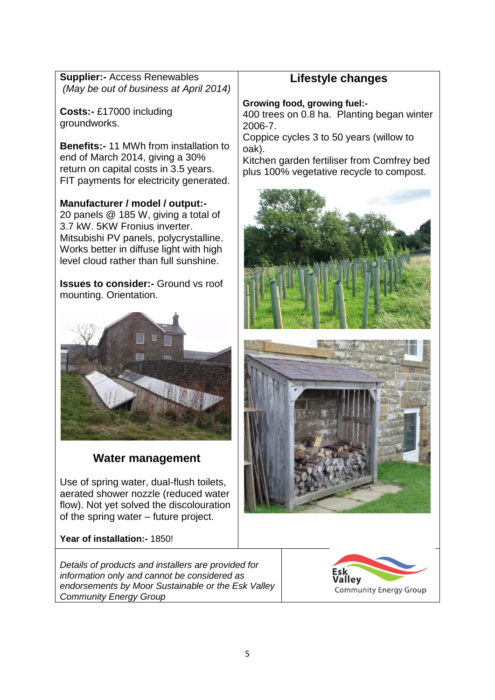| <b>Supplier:- Access Renewables</b>    |  |
|----------------------------------------|--|
| (May be out of business at April 2014) |  |

**Costs:-** £17000 including groundworks.

**Benefits:-** 11 MWh from installation to end of March 2014, giving a 30% return on capital costs in 3.5 years. FIT payments for electricity generated.

**Manufacturer / model / output:-** 20 panels @ 185 W, giving a total of 3.7 kW. 5KW Fronius inverter. Mitsubishi PV panels, polycrystalline. Works better in diffuse light with high level cloud rather than full sunshine.

**Issues to consider:-** Ground vs roof mounting. Orientation.



#### **Water management**

Use of spring water, dual-flush toilets, aerated shower nozzle (reduced water flow). Not yet solved the discolouration of the spring water – future project.

**Year of installation:-** 1850!

*Details of products and installers are provided for information only and cannot be considered as endorsements by Moor Sustainable or the Esk Valley Community Energy Group*

## **Lifestyle changes**

**Growing food, growing fuel:-**

400 trees on 0.8 ha. Planting began winter 2006-7.

Coppice cycles 3 to 50 years (willow to oak).

Kitchen garden fertiliser from Comfrey bed plus 100% vegetative recycle to compost.